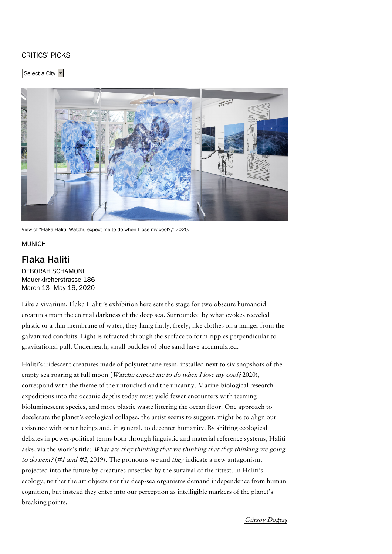## <span id="page-0-0"></span>[CRITICS'](https://www.artforum.com/picks) PICKS

Select a City



View of "Flaka Haliti: Watchu expect me to do when I lose my cool?," 2020.

**MUNICH** 

## [Flaka](#page-0-0) Haliti

DEBORAH [SCHAMONI](https://www.artforum.com/artguide/deborah-schamoni-11715) Mauerkircherstrasse 186 March 13–May 16, 2020

Like a vivarium, Flaka Haliti's exhibition here sets the stage for two obscure humanoid creatures from the eternal darkness of the deep sea. Surrounded by what evokes recycled plastic or a thin membrane of water, they hang flatly, freely, like clothes on a hanger from the galvanized conduits. Light is refracted through the surface to form ripples perpendicular to gravitational pull. Underneath, small puddles of blue sand have accumulated.

Haliti's iridescent creatures made of polyurethane resin, installed next to six snapshots of the empty sea roaring at full moon (*Watchu expect me to do when I lose my cool*? 2020), correspond with the theme of the untouched and the uncanny. Marine-biological research expeditions into the oceanic depths today must yield fewer encounters with teeming bioluminescent species, and more plastic waste littering the ocean floor. One approach to decelerate the planet's ecological collapse, the artist seems to suggest, might be to align our existence with other beings and, in general, to decenter humanity. By shifting ecological debates in power-political terms both through linguistic and material reference systems, Haliti asks, via the work's title: What are they thinking that we thinking that they thinking we going to do next? (#1 and #2, 2019). The pronouns we and they indicate a new antagonism, projected into the future by creatures unsettled by the survival of the fittest. In Haliti's ecology, neither the art objects nor the deep-sea organisms demand independence from human cognition, but instead they enter into our perception as intelligible markers of the planet's breaking points.

> —[Gürsoy](https://www.artforum.com/contributor/guersoy-do-287-ta-351) Doğtaş